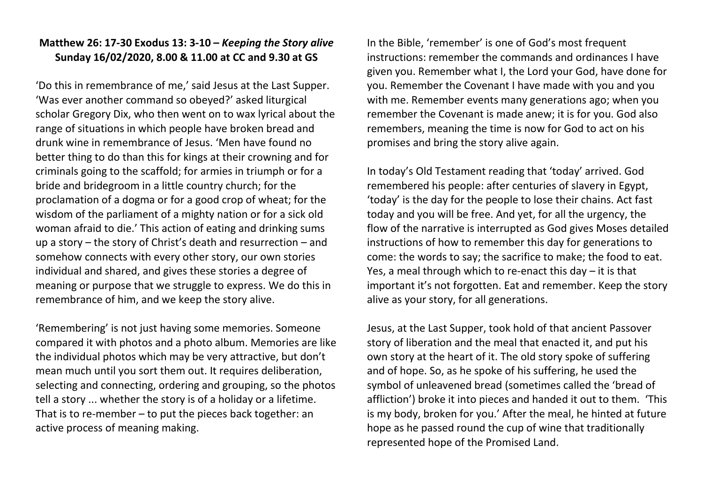## **Matthew 26: 17-30 Exodus 13: 3-10 –** *Keeping the Story alive* **Sunday 16/02/2020, 8.00 & 11.00 at CC and 9.30 at GS**

'Do this in remembrance of me,' said Jesus at the Last Supper. 'Was ever another command so obeyed?' asked liturgical scholar Gregory Dix, who then went on to wax lyrical about the range of situations in which people have broken bread and drunk wine in remembrance of Jesus. 'Men have found no better thing to do than this for kings at their crowning and for criminals going to the scaffold; for armies in triumph or for a bride and bridegroom in a little country church; for the proclamation of a dogma or for a good crop of wheat; for the wisdom of the parliament of a mighty nation or for a sick old woman afraid to die.' This action of eating and drinking sums up a story – the story of Christ's death and resurrection – and somehow connects with every other story, our own stories individual and shared, and gives these stories a degree of meaning or purpose that we struggle to express. We do this in remembrance of him, and we keep the story alive.

'Remembering' is not just having some memories. Someone compared it with photos and a photo album. Memories are like the individual photos which may be very attractive, but don't mean much until you sort them out. It requires deliberation, selecting and connecting, ordering and grouping, so the photos tell a story ... whether the story is of a holiday or a lifetime. That is to re-member – to put the pieces back together: an active process of meaning making.

In the Bible, 'remember' is one of God's most frequent instructions: remember the commands and ordinances I have given you. Remember what I, the Lord your God, have done for you. Remember the Covenant I have made with you and you with me. Remember events many generations ago; when you remember the Covenant is made anew; it is for you. God also remembers, meaning the time is now for God to act on his promises and bring the story alive again.

In today's Old Testament reading that 'today' arrived. God remembered his people: after centuries of slavery in Egypt, 'today' is the day for the people to lose their chains. Act fast today and you will be free. And yet, for all the urgency, the flow of the narrative is interrupted as God gives Moses detailed instructions of how to remember this day for generations to come: the words to say; the sacrifice to make; the food to eat. Yes, a meal through which to re-enact this day – it is that important it's not forgotten. Eat and remember. Keep the story alive as your story, for all generations.

Jesus, at the Last Supper, took hold of that ancient Passover story of liberation and the meal that enacted it, and put his own story at the heart of it. The old story spoke of suffering and of hope. So, as he spoke of his suffering, he used the symbol of unleavened bread (sometimes called the 'bread of affliction') broke it into pieces and handed it out to them. 'This is my body, broken for you.' After the meal, he hinted at future hope as he passed round the cup of wine that traditionally represented hope of the Promised Land.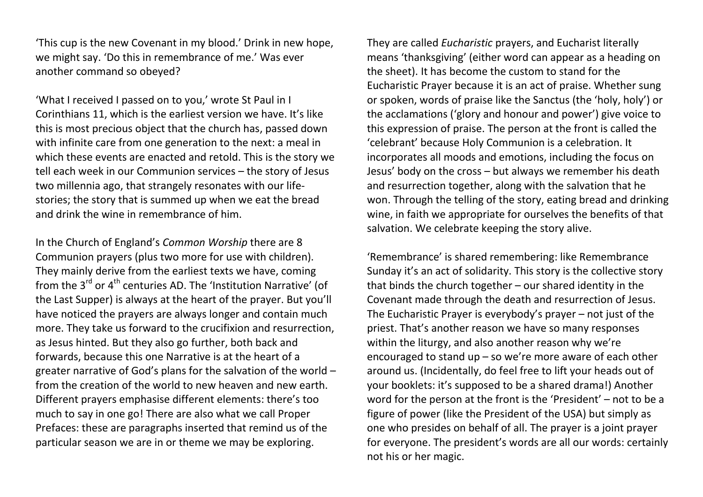'This cup is the new Covenant in my blood.' Drink in new hope, we might say. 'Do this in remembrance of me.' Was ever another command so obeyed?

'What I received I passed on to you,' wrote St Paul in I Corinthians 11, which is the earliest version we have. It's like this is most precious object that the church has, passed down with infinite care from one generation to the next: a meal in which these events are enacted and retold. This is the story we tell each week in our Communion services – the story of Jesus two millennia ago, that strangely resonates with our lifestories; the story that is summed up when we eat the bread and drink the wine in remembrance of him.

In the Church of England's *Common Worship* there are 8 Communion prayers (plus two more for use with children). They mainly derive from the earliest texts we have, coming from the  $3<sup>rd</sup>$  or  $4<sup>th</sup>$  centuries AD. The 'Institution Narrative' (of the Last Supper) is always at the heart of the prayer. But you'll have noticed the prayers are always longer and contain much more. They take us forward to the crucifixion and resurrection, as Jesus hinted. But they also go further, both back and forwards, because this one Narrative is at the heart of a greater narrative of God's plans for the salvation of the world – from the creation of the world to new heaven and new earth. Different prayers emphasise different elements: there's too much to say in one go! There are also what we call Proper Prefaces: these are paragraphs inserted that remind us of the particular season we are in or theme we may be exploring.

They are called *Eucharistic* prayers, and Eucharist literally means 'thanksgiving' (either word can appear as a heading on the sheet). It has become the custom to stand for the Eucharistic Prayer because it is an act of praise. Whether sung or spoken, words of praise like the Sanctus (the 'holy, holy') or the acclamations ('glory and honour and power') give voice to this expression of praise. The person at the front is called the 'celebrant' because Holy Communion is a celebration. It incorporates all moods and emotions, including the focus on Jesus' body on the cross – but always we remember his death and resurrection together, along with the salvation that he won. Through the telling of the story, eating bread and drinking wine, in faith we appropriate for ourselves the benefits of that salvation. We celebrate keeping the story alive.

'Remembrance' is shared remembering: like Remembrance Sunday it's an act of solidarity. This story is the collective story that binds the church together – our shared identity in the Covenant made through the death and resurrection of Jesus. The Eucharistic Prayer is everybody's prayer – not just of the priest. That's another reason we have so many responses within the liturgy, and also another reason why we're encouraged to stand up – so we're more aware of each other around us. (Incidentally, do feel free to lift your heads out of your booklets: it's supposed to be a shared drama!) Another word for the person at the front is the 'President' – not to be a figure of power (like the President of the USA) but simply as one who presides on behalf of all. The prayer is a joint prayer for everyone. The president's words are all our words: certainly not his or her magic.